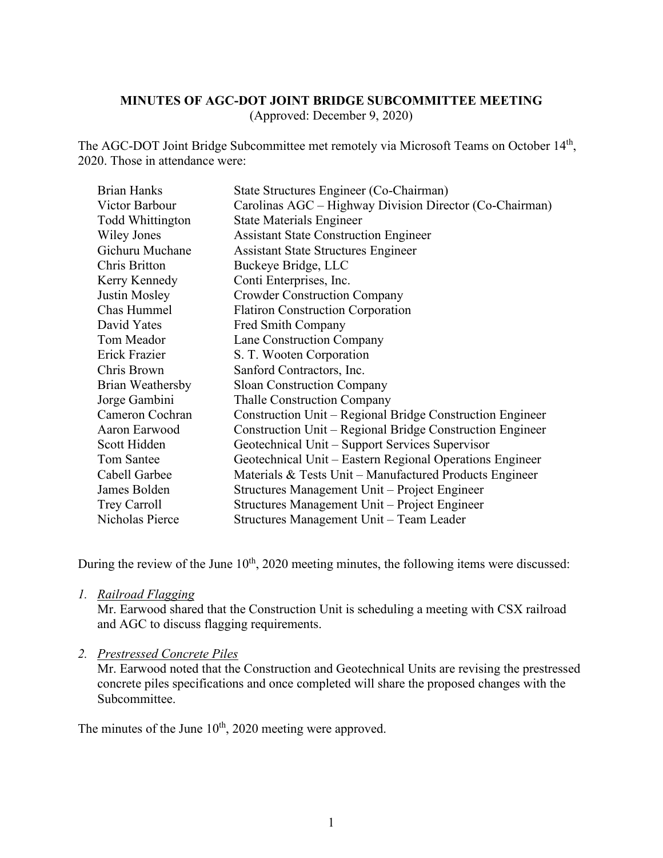## **MINUTES OF AGC-DOT JOINT BRIDGE SUBCOMMITTEE MEETING**

(Approved: December 9, 2020)

The AGC-DOT Joint Bridge Subcommittee met remotely via Microsoft Teams on October 14th, 2020. Those in attendance were:

| <b>Brian Hanks</b>      | State Structures Engineer (Co-Chairman)                   |
|-------------------------|-----------------------------------------------------------|
| Victor Barbour          | Carolinas AGC – Highway Division Director (Co-Chairman)   |
| <b>Todd Whittington</b> | <b>State Materials Engineer</b>                           |
| Wiley Jones             | <b>Assistant State Construction Engineer</b>              |
| Gichuru Muchane         | <b>Assistant State Structures Engineer</b>                |
| Chris Britton           | Buckeye Bridge, LLC                                       |
| Kerry Kennedy           | Conti Enterprises, Inc.                                   |
| Justin Mosley           | <b>Crowder Construction Company</b>                       |
| Chas Hummel             | <b>Flatiron Construction Corporation</b>                  |
| David Yates             | Fred Smith Company                                        |
| Tom Meador              | Lane Construction Company                                 |
| Erick Frazier           | S. T. Wooten Corporation                                  |
| Chris Brown             | Sanford Contractors, Inc.                                 |
| Brian Weathersby        | <b>Sloan Construction Company</b>                         |
| Jorge Gambini           | <b>Thalle Construction Company</b>                        |
| Cameron Cochran         | Construction Unit – Regional Bridge Construction Engineer |
| Aaron Earwood           | Construction Unit – Regional Bridge Construction Engineer |
| Scott Hidden            | Geotechnical Unit – Support Services Supervisor           |
| Tom Santee              | Geotechnical Unit - Eastern Regional Operations Engineer  |
| Cabell Garbee           | Materials $&$ Tests Unit – Manufactured Products Engineer |
| James Bolden            | Structures Management Unit - Project Engineer             |
| Trey Carroll            | Structures Management Unit – Project Engineer             |
| Nicholas Pierce         | Structures Management Unit - Team Leader                  |

During the review of the June 10<sup>th</sup>, 2020 meeting minutes, the following items were discussed:

#### *1. Railroad Flagging*

Mr. Earwood shared that the Construction Unit is scheduling a meeting with CSX railroad and AGC to discuss flagging requirements.

## *2. Prestressed Concrete Piles*

Mr. Earwood noted that the Construction and Geotechnical Units are revising the prestressed concrete piles specifications and once completed will share the proposed changes with the Subcommittee.

The minutes of the June  $10<sup>th</sup>$ , 2020 meeting were approved.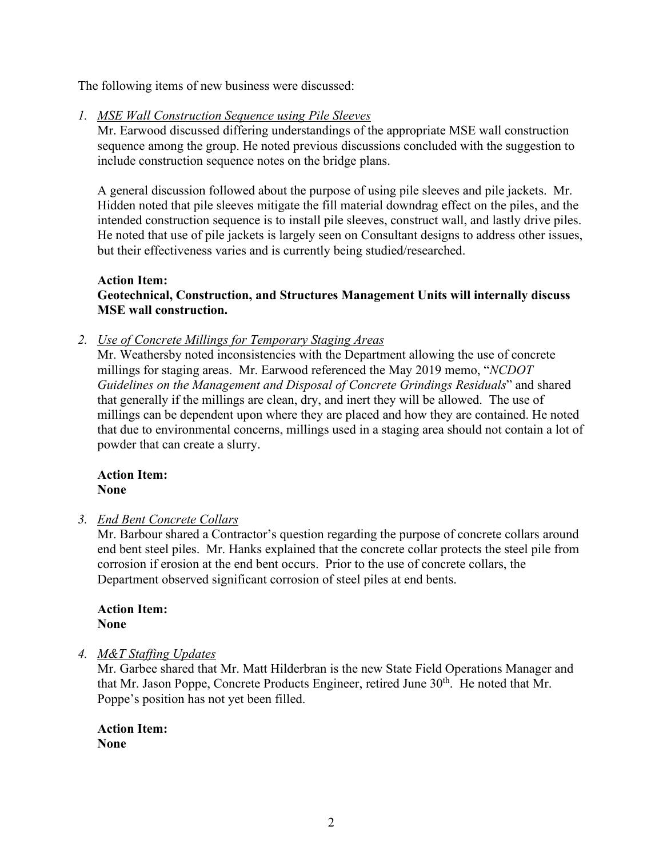The following items of new business were discussed:

*1. MSE Wall Construction Sequence using Pile Sleeves*

Mr. Earwood discussed differing understandings of the appropriate MSE wall construction sequence among the group. He noted previous discussions concluded with the suggestion to include construction sequence notes on the bridge plans.

A general discussion followed about the purpose of using pile sleeves and pile jackets. Mr. Hidden noted that pile sleeves mitigate the fill material downdrag effect on the piles, and the intended construction sequence is to install pile sleeves, construct wall, and lastly drive piles. He noted that use of pile jackets is largely seen on Consultant designs to address other issues, but their effectiveness varies and is currently being studied/researched.

# **Action Item: Geotechnical, Construction, and Structures Management Units will internally discuss MSE wall construction.**

*2. Use of Concrete Millings for Temporary Staging Areas*

Mr. Weathersby noted inconsistencies with the Department allowing the use of concrete millings for staging areas. Mr. Earwood referenced the May 2019 memo, "*NCDOT Guidelines on the Management and Disposal of Concrete Grindings Residuals*" and shared that generally if the millings are clean, dry, and inert they will be allowed. The use of millings can be dependent upon where they are placed and how they are contained. He noted that due to environmental concerns, millings used in a staging area should not contain a lot of powder that can create a slurry.

## **Action Item: None**

*3. End Bent Concrete Collars*

Mr. Barbour shared a Contractor's question regarding the purpose of concrete collars around end bent steel piles. Mr. Hanks explained that the concrete collar protects the steel pile from corrosion if erosion at the end bent occurs. Prior to the use of concrete collars, the Department observed significant corrosion of steel piles at end bents.

**Action Item: None**

# *4. M&T Staffing Updates*

Mr. Garbee shared that Mr. Matt Hilderbran is the new State Field Operations Manager and that Mr. Jason Poppe, Concrete Products Engineer, retired June 30<sup>th</sup>. He noted that Mr. Poppe's position has not yet been filled.

**Action Item: None**